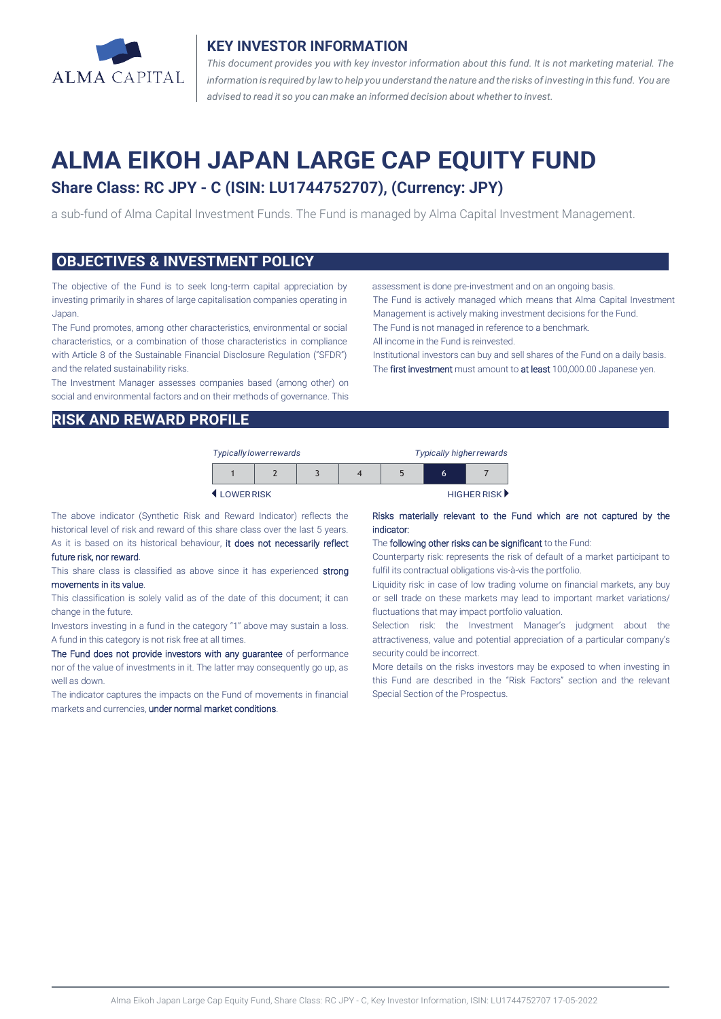

## **KEY INVESTOR INFORMATION**

*This document provides you with key investor information about this fund. It is not marketing material. The* information is required by law to help you understand the nature and the risks of investing in this fund. You are *advised to read it so you can make an informed decision about whether to invest.*

# **ALMA EIKOH JAPAN LARGE CAP EQUITY FUND**

## **Share Class: RC JPY - C (ISIN: LU1744752707), (Currency: JPY)**

a sub-fund of Alma Capital Investment Funds. The Fund is managed by Alma Capital Investment Management.

### **OBJECTIVES & INVESTMENT POLICY**

The objective of the Fund is to seek long-term capital appreciation by investing primarily in shares of large capitalisation companies operating in Japan.

The Fund promotes, among other characteristics, environmental or social characteristics, or a combination of those characteristics in compliance with Article 8 of the Sustainable Financial Disclosure Regulation ("SFDR") and the related sustainability risks.

The Investment Manager assesses companies based (among other) on social and environmental factors and on their methods of governance. This assessment is done pre-investment and on an ongoing basis.

The Fund is actively managed which means that Alma Capital Investment Management is actively making investment decisions for the Fund.

The Fund is not managed in reference to a benchmark.

All income in the Fund is reinvested.

Institutional investors can buy and sell shares of the Fund on a daily basis. The first investment must amount to at least 100,000.00 Japanese yen.

## **RISK AND REWARD PROFILE**

| <b>Typically lower rewards</b> |  |  |  | <b>Typically higher rewards</b> |   |             |
|--------------------------------|--|--|--|---------------------------------|---|-------------|
|                                |  |  |  |                                 | 6 |             |
| <b>4 I OWERRISK</b>            |  |  |  |                                 |   | HIGHER RISK |

The above indicator (Synthetic Risk and Reward Indicator) reflects the historical level of risk and reward of this share class over the last 5 years. As it is based on its historical behaviour, it does not necessarily reflect

#### future risk, nor reward.

This share class is classified as above since it has experienced strong movements in its value.

This classification is solely valid as of the date of this document; it can change in the future.

Investors investing in a fund in the category "1" above may sustain a loss. A fund in this category is not risk free at all times.

The Fund does not provide investors with any guarantee of performance nor of the value of investments in it. The latter may consequently go up, as well as down.

The indicator captures the impacts on the Fund of movements in financial markets and currencies, under normal market conditions.

#### Risks materially relevant to the Fund which are not captured by the indicator:

#### The following other risks can be significant to the Fund:

Counterparty risk: represents the risk of default of a market participant to fulfil its contractual obligations vis-à-vis the portfolio.

Liquidity risk: in case of low trading volume on financial markets, any buy or sell trade on these markets may lead to important market variations/ fluctuations that may impact portfolio valuation.

Selection risk: the Investment Manager's judgment about the attractiveness, value and potential appreciation of a particular company's security could be incorrect.

More details on the risks investors may be exposed to when investing in this Fund are described in the "Risk Factors" section and the relevant Special Section of the Prospectus.